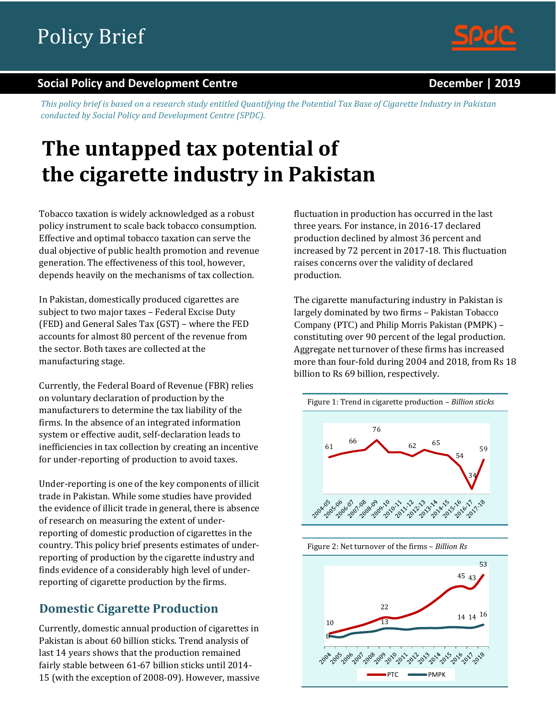

#### **Social Policy and Development Centre December | 2019**

*This policy brief is based on a research study entitled Quantifying the Potential Tax Base of Cigarette Industry in Pakistan conducted by Social Policy and Development Centre (SPDC).*

# **The untapped tax potential of the cigarette industry in Pakistan**

Tobacco taxation is widely acknowledged as a robust policy instrument to scale back tobacco consumption. Effective and optimal tobacco taxation can serve the dual objective of public health promotion and revenue generation. The effectiveness of this tool, however, depends heavily on the mechanisms of tax collection.

In Pakistan, domestically produced cigarettes are subject to two major taxes – Federal Excise Duty (FED) and General Sales Tax (GST) – where the FED accounts for almost 80 percent of the revenue from the sector. Both taxes are collected at the manufacturing stage.

Currently, the Federal Board of Revenue (FBR) relies on voluntary declaration of production by the manufacturers to determine the tax liability of the firms. In the absence of an integrated information system or effective audit, self-declaration leads to inefficiencies in tax collection by creating an incentive for under-reporting of production to avoid taxes.

Under-reporting is one of the key components of illicit trade in Pakistan. While some studies have provided the evidence of illicit trade in general, there is absence of research on measuring the extent of underreporting of domestic production of cigarettes in the country. This policy brief presents estimates of underreporting of production by the cigarette industry and finds evidence of a considerably high level of underreporting of cigarette production by the firms.

### **Domestic Cigarette Production**

Currently, domestic annual production of cigarettes in Pakistan is about 60 billion sticks. Trend analysis of last 14 years shows that the production remained fairly stable between 61-67 billion sticks until 2014- 15 (with the exception of 2008-09). However, massive fluctuation in production has occurred in the last three years. For instance, in 2016-17 declared production declined by almost 36 percent and increased by 72 percent in 2017-18. This fluctuation raises concerns over the validity of declared production.

The cigarette manufacturing industry in Pakistan is largely dominated by two firms – Pakistan Tobacco Company (PTC) and Philip Morris Pakistan (PMPK) – constituting over 90 percent of the legal production. Aggregate net turnover of these firms has increased more than four-fold during 2004 and 2018, from Rs 18 billion to Rs 69 billion, respectively.



Figure 2: Net turnover of the firms – *Billion Rs*